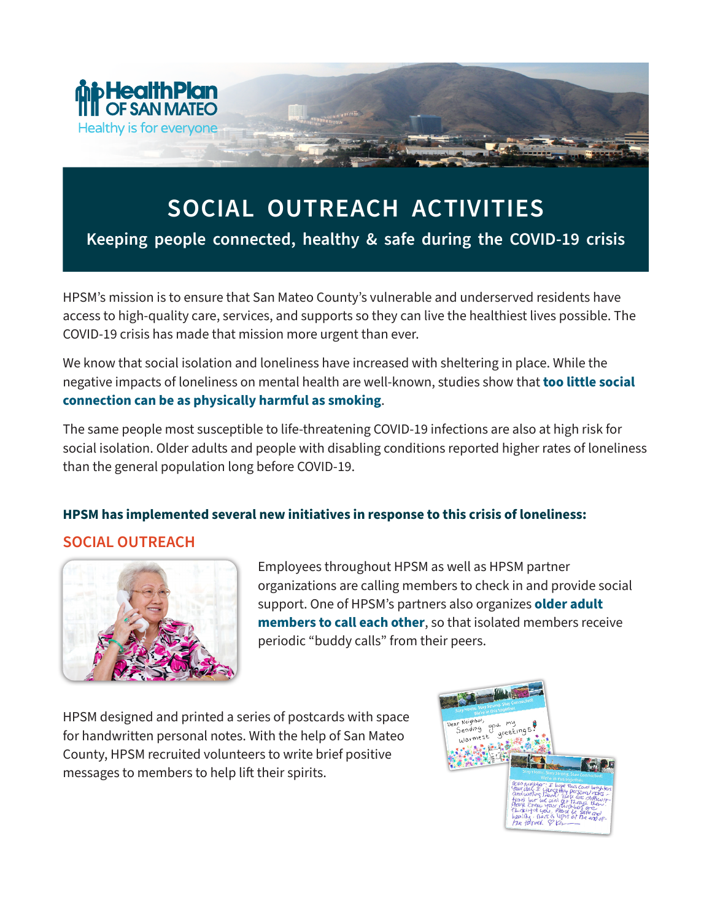

## **SOCIAL OUTREACH ACTIVITIES**

**Keeping people connected, healthy & safe during the COVID-19 crisis**

HPSM's mission is to ensure that San Mateo County's vulnerable and underserved residents have access to high-quality care, services, and supports so they can live the healthiest lives possible. The COVID-19 crisis has made that mission more urgent than ever.

We know that social isolation and loneliness have increased with sheltering in place. While the negative impacts of loneliness on mental health are well-known, studies show that **too little social connection can be as physically harmful as smoking**.

The same people most susceptible to life-threatening COVID-19 infections are also at high risk for social isolation. Older adults and people with disabling conditions reported higher rates of loneliness than the general population long before COVID-19.

## **HPSM has implemented several new initiatives in response to this crisis of loneliness:**

## **SOCIAL OUTREACH**



Employees throughout HPSM as well as HPSM partner organizations are calling members to check in and provide social support. One of HPSM's partners also organizes **older adult members to call each other**, so that isolated members receive periodic "buddy calls" from their peers.

HPSM designed and printed a series of postcards with space for handwritten personal notes. With the help of San Mateo County, HPSM recruited volunteers to write brief positive messages to members to help lift their spirits.